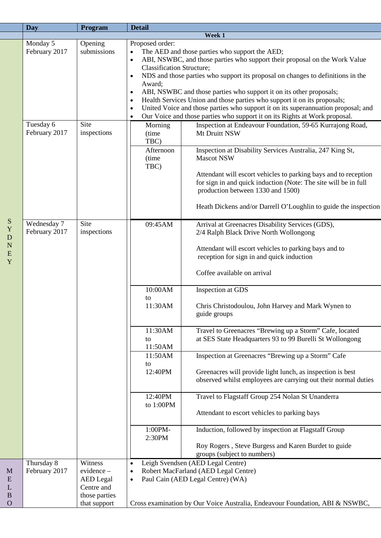| <b>Day</b>    | Program          | <b>Detail</b>                    |                                                                                   |
|---------------|------------------|----------------------------------|-----------------------------------------------------------------------------------|
|               |                  |                                  | Week 1                                                                            |
| Monday 5      | Opening          | Proposed order:                  |                                                                                   |
| February 2017 | submissions      |                                  | The AED and those parties who support the AED;                                    |
|               |                  | $\bullet$                        | ABI, NSWBC, and those parties who support their proposal on the Work Value        |
|               |                  | <b>Classification Structure;</b> |                                                                                   |
|               |                  | $\bullet$                        | NDS and those parties who support its proposal on changes to definitions in the   |
|               |                  | Award;                           |                                                                                   |
|               |                  | $\bullet$                        | ABI, NSWBC and those parties who support it on its other proposals;               |
|               |                  | $\bullet$                        | Health Services Union and those parties who support it on its proposals;          |
|               |                  | $\bullet$                        | United Voice and those parties who support it on its superannuation proposal; and |
|               |                  | $\bullet$                        | Our Voice and those parties who support it on its Rights at Work proposal.        |
| Tuesday 6     | Site             | Morning                          | Inspection at Endeavour Foundation, 59-65 Kurrajong Road,                         |
| February 2017 | inspections      | (time                            | Mt Druitt NSW                                                                     |
|               |                  | TBC)                             |                                                                                   |
|               |                  |                                  |                                                                                   |
|               |                  | Afternoon                        | Inspection at Disability Services Australia, 247 King St,                         |
|               |                  | (time                            | <b>Mascot NSW</b>                                                                 |
|               |                  | TBC)                             |                                                                                   |
|               |                  |                                  | Attendant will escort vehicles to parking bays and to reception                   |
|               |                  |                                  | for sign in and quick induction (Note: The site will be in full                   |
|               |                  |                                  | production between 1330 and 1500)                                                 |
|               |                  |                                  |                                                                                   |
|               |                  |                                  | Heath Dickens and/or Darrell O'Loughlin to guide the inspection                   |
|               |                  |                                  |                                                                                   |
| Wednesday 7   | Site             | 09:45AM                          | Arrival at Greenacres Disability Services (GDS),                                  |
| February 2017 | inspections      |                                  | 2/4 Ralph Black Drive North Wollongong                                            |
|               |                  |                                  |                                                                                   |
|               |                  |                                  | Attendant will escort vehicles to parking bays and to                             |
|               |                  |                                  | reception for sign in and quick induction                                         |
|               |                  |                                  |                                                                                   |
|               |                  |                                  | Coffee available on arrival                                                       |
|               |                  |                                  |                                                                                   |
|               |                  | 10:00AM                          | Inspection at GDS                                                                 |
|               |                  | to                               |                                                                                   |
|               |                  | 11:30AM                          | Chris Christodoulou, John Harvey and Mark Wynen to                                |
|               |                  |                                  | guide groups                                                                      |
|               |                  |                                  |                                                                                   |
|               |                  | 11:30AM                          | Travel to Greenacres "Brewing up a Storm" Cafe, located                           |
|               |                  | to                               | at SES State Headquarters 93 to 99 Burelli St Wollongong                          |
|               |                  | 11:50AM                          |                                                                                   |
|               |                  | 11:50AM                          |                                                                                   |
|               |                  |                                  | Inspection at Greenacres "Brewing up a Storm" Cafe                                |
|               |                  | to                               |                                                                                   |
|               |                  | 12:40PM                          | Greenacres will provide light lunch, as inspection is best                        |
|               |                  |                                  | observed whilst employees are carrying out their normal duties                    |
|               |                  |                                  |                                                                                   |
|               |                  | 12:40PM                          | Travel to Flagstaff Group 254 Nolan St Unanderra                                  |
|               |                  | to 1:00PM                        |                                                                                   |
|               |                  |                                  | Attendant to escort vehicles to parking bays                                      |
|               |                  |                                  |                                                                                   |
|               |                  | 1:00PM-                          | Induction, followed by inspection at Flagstaff Group                              |
|               |                  | 2:30PM                           |                                                                                   |
|               |                  |                                  | Roy Rogers, Steve Burgess and Karen Burdet to guide                               |
|               |                  |                                  | groups (subject to numbers)                                                       |
| Thursday 8    | Witness          | $\bullet$                        | Leigh Svendsen (AED Legal Centre)                                                 |
| February 2017 | $evidence -$     | $\bullet$                        | Robert MacFarland (AED Legal Centre)                                              |
|               | <b>AED</b> Legal | $\bullet$                        | Paul Cain (AED Legal Centre) (WA)                                                 |
|               | Centre and       |                                  |                                                                                   |
|               | those parties    |                                  |                                                                                   |
|               | that support     |                                  | Cross examination by Our Voice Australia, Endeavour Foundation, ABI & NSWBC,      |
|               |                  |                                  |                                                                                   |

M E L B O